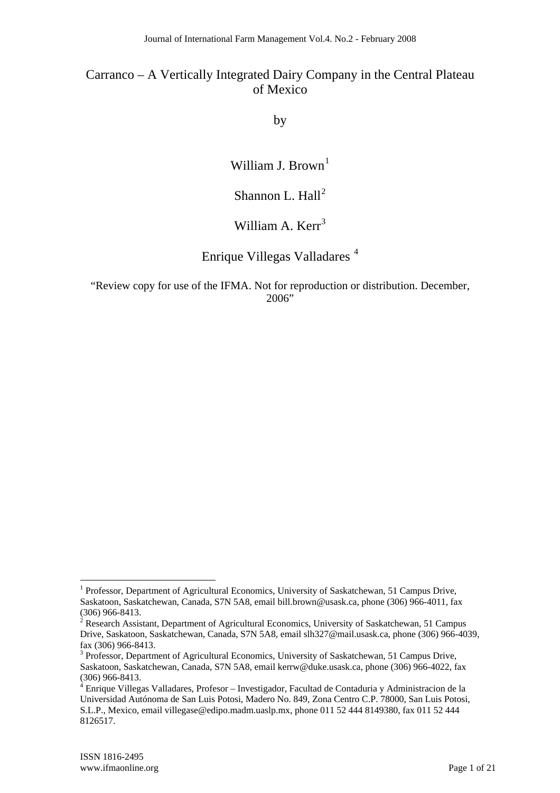by

William J. Brown<sup>1</sup>

# Shannon L. Hall<sup>2</sup>

# William A. Kerr<sup>3</sup>

# Enrique Villegas Valladares <sup>4</sup>

"Review copy for use of the IFMA. Not for reproduction or distribution. December, 2006"

 $\overline{a}$ 

<sup>&</sup>lt;sup>1</sup> Professor, Department of Agricultural Economics, University of Saskatchewan, 51 Campus Drive, Saskatoon, Saskatchewan, Canada, S7N 5A8, email bill.brown@usask.ca, phone (306) 966-4011, fax (306) 966-8413.

<sup>&</sup>lt;sup>2</sup> Research Assistant, Department of Agricultural Economics, University of Saskatchewan, 51 Campus Drive, Saskatoon, Saskatchewan, Canada, S7N 5A8, email slh327@mail.usask.ca, phone (306) 966-4039, fax (306) 966-8413.

<sup>&</sup>lt;sup>3</sup> Professor, Department of Agricultural Economics, University of Saskatchewan, 51 Campus Drive, Saskatoon, Saskatchewan, Canada, S7N 5A8, email kerrw@duke.usask.ca, phone (306) 966-4022, fax (306) 966-8413.

<sup>&</sup>lt;sup>4</sup> Enrique Villegas Valladares, Profesor - Investigador, Facultad de Contaduria y Administracion de la Universidad Autónoma de San Luis Potosi, Madero No. 849, Zona Centro C.P. 78000, San Luis Potosi, S.L.P., Mexico, email villegase@edipo.madm.uaslp.mx, phone 011 52 444 8149380, fax 011 52 444 8126517.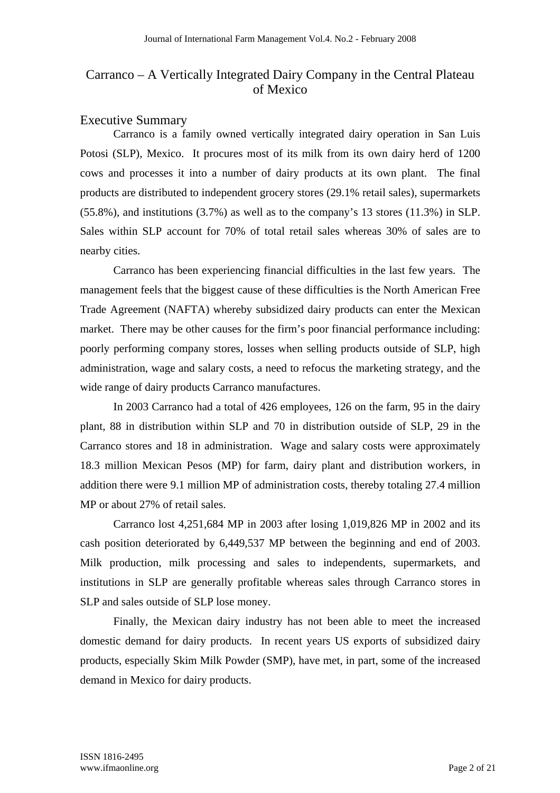## Executive Summary

Carranco is a family owned vertically integrated dairy operation in San Luis Potosi (SLP), Mexico. It procures most of its milk from its own dairy herd of 1200 cows and processes it into a number of dairy products at its own plant. The final products are distributed to independent grocery stores (29.1% retail sales), supermarkets (55.8%), and institutions (3.7%) as well as to the company's 13 stores (11.3%) in SLP. Sales within SLP account for 70% of total retail sales whereas 30% of sales are to nearby cities.

Carranco has been experiencing financial difficulties in the last few years. The management feels that the biggest cause of these difficulties is the North American Free Trade Agreement (NAFTA) whereby subsidized dairy products can enter the Mexican market. There may be other causes for the firm's poor financial performance including: poorly performing company stores, losses when selling products outside of SLP, high administration, wage and salary costs, a need to refocus the marketing strategy, and the wide range of dairy products Carranco manufactures.

In 2003 Carranco had a total of 426 employees, 126 on the farm, 95 in the dairy plant, 88 in distribution within SLP and 70 in distribution outside of SLP, 29 in the Carranco stores and 18 in administration. Wage and salary costs were approximately 18.3 million Mexican Pesos (MP) for farm, dairy plant and distribution workers, in addition there were 9.1 million MP of administration costs, thereby totaling 27.4 million MP or about 27% of retail sales.

Carranco lost 4,251,684 MP in 2003 after losing 1,019,826 MP in 2002 and its cash position deteriorated by 6,449,537 MP between the beginning and end of 2003. Milk production, milk processing and sales to independents, supermarkets, and institutions in SLP are generally profitable whereas sales through Carranco stores in SLP and sales outside of SLP lose money.

Finally, the Mexican dairy industry has not been able to meet the increased domestic demand for dairy products. In recent years US exports of subsidized dairy products, especially Skim Milk Powder (SMP), have met, in part, some of the increased demand in Mexico for dairy products.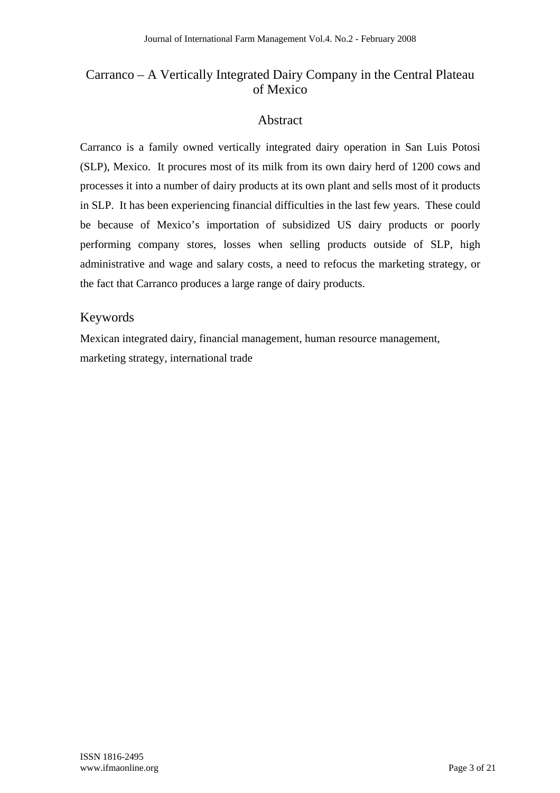## Abstract

Carranco is a family owned vertically integrated dairy operation in San Luis Potosi (SLP), Mexico. It procures most of its milk from its own dairy herd of 1200 cows and processes it into a number of dairy products at its own plant and sells most of it products in SLP. It has been experiencing financial difficulties in the last few years. These could be because of Mexico's importation of subsidized US dairy products or poorly performing company stores, losses when selling products outside of SLP, high administrative and wage and salary costs, a need to refocus the marketing strategy, or the fact that Carranco produces a large range of dairy products.

## Keywords

Mexican integrated dairy, financial management, human resource management, marketing strategy, international trade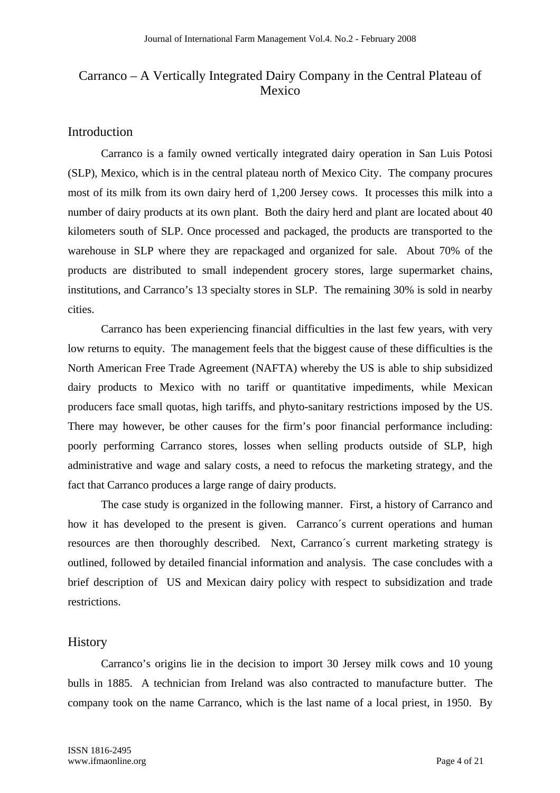### Introduction

Carranco is a family owned vertically integrated dairy operation in San Luis Potosi (SLP), Mexico, which is in the central plateau north of Mexico City. The company procures most of its milk from its own dairy herd of 1,200 Jersey cows. It processes this milk into a number of dairy products at its own plant. Both the dairy herd and plant are located about 40 kilometers south of SLP. Once processed and packaged, the products are transported to the warehouse in SLP where they are repackaged and organized for sale. About 70% of the products are distributed to small independent grocery stores, large supermarket chains, institutions, and Carranco's 13 specialty stores in SLP. The remaining 30% is sold in nearby cities.

Carranco has been experiencing financial difficulties in the last few years, with very low returns to equity. The management feels that the biggest cause of these difficulties is the North American Free Trade Agreement (NAFTA) whereby the US is able to ship subsidized dairy products to Mexico with no tariff or quantitative impediments, while Mexican producers face small quotas, high tariffs, and phyto-sanitary restrictions imposed by the US. There may however, be other causes for the firm's poor financial performance including: poorly performing Carranco stores, losses when selling products outside of SLP, high administrative and wage and salary costs, a need to refocus the marketing strategy, and the fact that Carranco produces a large range of dairy products.

The case study is organized in the following manner. First, a history of Carranco and how it has developed to the present is given. Carranco´s current operations and human resources are then thoroughly described. Next, Carranco´s current marketing strategy is outlined, followed by detailed financial information and analysis. The case concludes with a brief description of US and Mexican dairy policy with respect to subsidization and trade restrictions.

### **History**

Carranco's origins lie in the decision to import 30 Jersey milk cows and 10 young bulls in 1885. A technician from Ireland was also contracted to manufacture butter. The company took on the name Carranco, which is the last name of a local priest, in 1950. By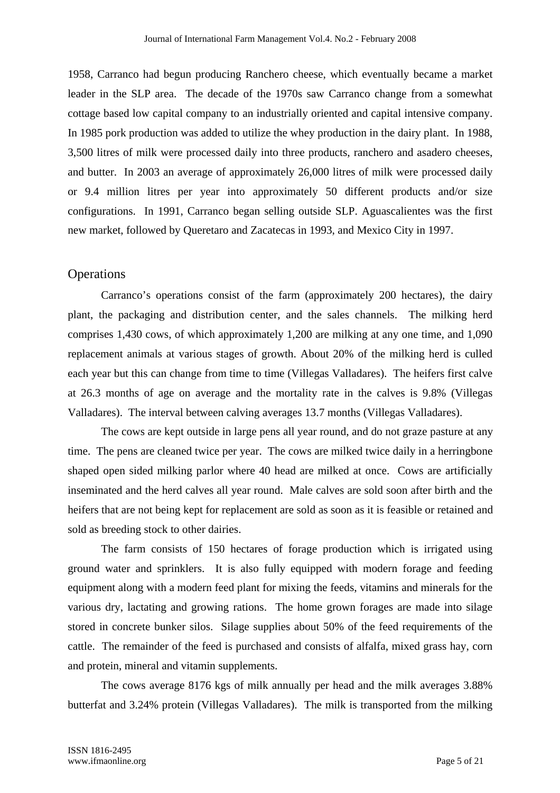1958, Carranco had begun producing Ranchero cheese, which eventually became a market leader in the SLP area. The decade of the 1970s saw Carranco change from a somewhat cottage based low capital company to an industrially oriented and capital intensive company. In 1985 pork production was added to utilize the whey production in the dairy plant. In 1988, 3,500 litres of milk were processed daily into three products, ranchero and asadero cheeses, and butter. In 2003 an average of approximately 26,000 litres of milk were processed daily or 9.4 million litres per year into approximately 50 different products and/or size configurations. In 1991, Carranco began selling outside SLP. Aguascalientes was the first new market, followed by Queretaro and Zacatecas in 1993, and Mexico City in 1997.

#### **Operations**

Carranco's operations consist of the farm (approximately 200 hectares), the dairy plant, the packaging and distribution center, and the sales channels. The milking herd comprises 1,430 cows, of which approximately 1,200 are milking at any one time, and 1,090 replacement animals at various stages of growth. About 20% of the milking herd is culled each year but this can change from time to time (Villegas Valladares). The heifers first calve at 26.3 months of age on average and the mortality rate in the calves is 9.8% (Villegas Valladares). The interval between calving averages 13.7 months (Villegas Valladares).

The cows are kept outside in large pens all year round, and do not graze pasture at any time. The pens are cleaned twice per year. The cows are milked twice daily in a herringbone shaped open sided milking parlor where 40 head are milked at once. Cows are artificially inseminated and the herd calves all year round. Male calves are sold soon after birth and the heifers that are not being kept for replacement are sold as soon as it is feasible or retained and sold as breeding stock to other dairies.

The farm consists of 150 hectares of forage production which is irrigated using ground water and sprinklers. It is also fully equipped with modern forage and feeding equipment along with a modern feed plant for mixing the feeds, vitamins and minerals for the various dry, lactating and growing rations. The home grown forages are made into silage stored in concrete bunker silos. Silage supplies about 50% of the feed requirements of the cattle. The remainder of the feed is purchased and consists of alfalfa, mixed grass hay, corn and protein, mineral and vitamin supplements.

The cows average 8176 kgs of milk annually per head and the milk averages 3.88% butterfat and 3.24% protein (Villegas Valladares). The milk is transported from the milking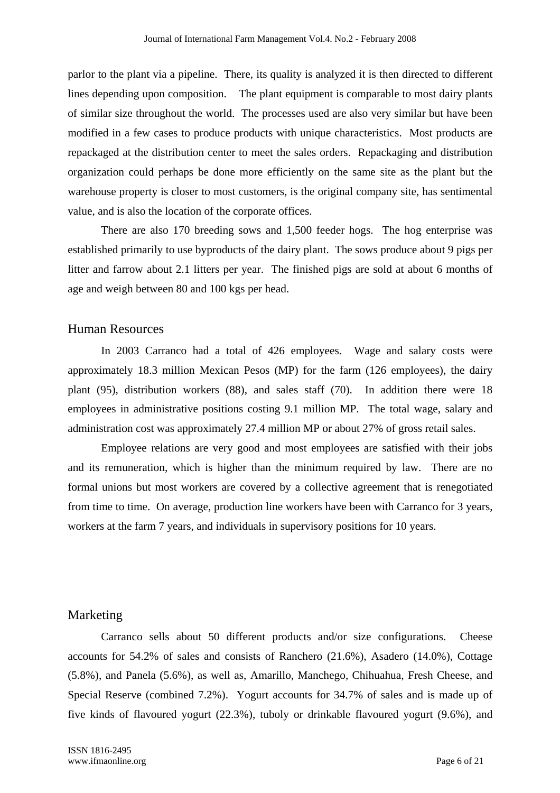parlor to the plant via a pipeline. There, its quality is analyzed it is then directed to different lines depending upon composition. The plant equipment is comparable to most dairy plants of similar size throughout the world. The processes used are also very similar but have been modified in a few cases to produce products with unique characteristics. Most products are repackaged at the distribution center to meet the sales orders. Repackaging and distribution organization could perhaps be done more efficiently on the same site as the plant but the warehouse property is closer to most customers, is the original company site, has sentimental value, and is also the location of the corporate offices.

There are also 170 breeding sows and 1,500 feeder hogs. The hog enterprise was established primarily to use byproducts of the dairy plant. The sows produce about 9 pigs per litter and farrow about 2.1 litters per year. The finished pigs are sold at about 6 months of age and weigh between 80 and 100 kgs per head.

#### Human Resources

In 2003 Carranco had a total of 426 employees. Wage and salary costs were approximately 18.3 million Mexican Pesos (MP) for the farm (126 employees), the dairy plant (95), distribution workers (88), and sales staff (70). In addition there were 18 employees in administrative positions costing 9.1 million MP. The total wage, salary and administration cost was approximately 27.4 million MP or about 27% of gross retail sales.

Employee relations are very good and most employees are satisfied with their jobs and its remuneration, which is higher than the minimum required by law. There are no formal unions but most workers are covered by a collective agreement that is renegotiated from time to time. On average, production line workers have been with Carranco for 3 years, workers at the farm 7 years, and individuals in supervisory positions for 10 years.

#### Marketing

Carranco sells about 50 different products and/or size configurations. Cheese accounts for 54.2% of sales and consists of Ranchero (21.6%), Asadero (14.0%), Cottage (5.8%), and Panela (5.6%), as well as, Amarillo, Manchego, Chihuahua, Fresh Cheese, and Special Reserve (combined 7.2%). Yogurt accounts for 34.7% of sales and is made up of five kinds of flavoured yogurt (22.3%), tuboly or drinkable flavoured yogurt (9.6%), and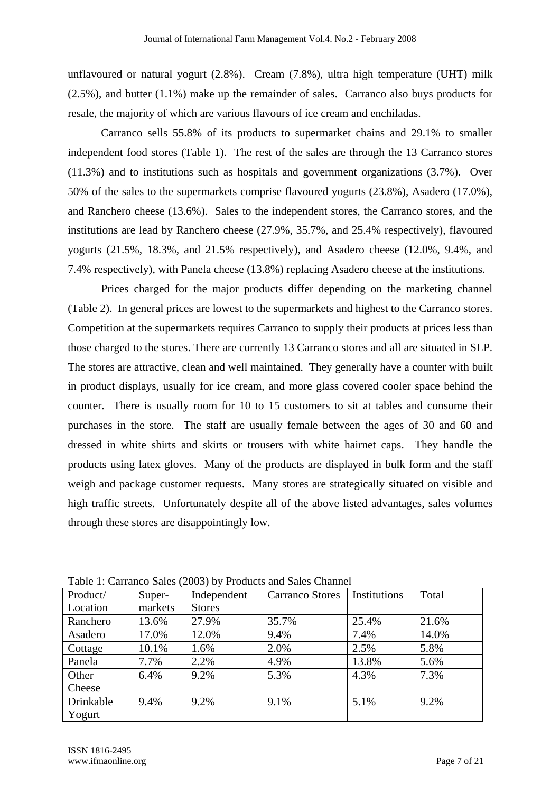unflavoured or natural yogurt (2.8%). Cream (7.8%), ultra high temperature (UHT) milk (2.5%), and butter (1.1%) make up the remainder of sales. Carranco also buys products for resale, the majority of which are various flavours of ice cream and enchiladas.

Carranco sells 55.8% of its products to supermarket chains and 29.1% to smaller independent food stores (Table 1). The rest of the sales are through the 13 Carranco stores (11.3%) and to institutions such as hospitals and government organizations (3.7%). Over 50% of the sales to the supermarkets comprise flavoured yogurts (23.8%), Asadero (17.0%), and Ranchero cheese (13.6%). Sales to the independent stores, the Carranco stores, and the institutions are lead by Ranchero cheese (27.9%, 35.7%, and 25.4% respectively), flavoured yogurts (21.5%, 18.3%, and 21.5% respectively), and Asadero cheese (12.0%, 9.4%, and 7.4% respectively), with Panela cheese (13.8%) replacing Asadero cheese at the institutions.

Prices charged for the major products differ depending on the marketing channel (Table 2). In general prices are lowest to the supermarkets and highest to the Carranco stores. Competition at the supermarkets requires Carranco to supply their products at prices less than those charged to the stores. There are currently 13 Carranco stores and all are situated in SLP. The stores are attractive, clean and well maintained. They generally have a counter with built in product displays, usually for ice cream, and more glass covered cooler space behind the counter. There is usually room for 10 to 15 customers to sit at tables and consume their purchases in the store. The staff are usually female between the ages of 30 and 60 and dressed in white shirts and skirts or trousers with white hairnet caps. They handle the products using latex gloves. Many of the products are displayed in bulk form and the staff weigh and package customer requests. Many stores are strategically situated on visible and high traffic streets. Unfortunately despite all of the above listed advantages, sales volumes through these stores are disappointingly low.

| Product/  | Super-  | Independent   | <b>Carranco Stores</b> | Institutions | Total |
|-----------|---------|---------------|------------------------|--------------|-------|
| Location  | markets | <b>Stores</b> |                        |              |       |
| Ranchero  | 13.6%   | 27.9%         | 35.7%                  | 25.4%        | 21.6% |
| Asadero   | 17.0%   | 12.0%         | 9.4%                   | 7.4%         | 14.0% |
| Cottage   | 10.1%   | 1.6%          | 2.0%                   | 2.5%         | 5.8%  |
| Panela    | 7.7%    | 2.2%          | 4.9%                   | 13.8%        | 5.6%  |
| Other     | 6.4%    | 9.2%          | 5.3%                   | 4.3%         | 7.3%  |
| Cheese    |         |               |                        |              |       |
| Drinkable | 9.4%    | 9.2%          | 9.1%                   | 5.1%         | 9.2%  |
| Yogurt    |         |               |                        |              |       |

Table 1: Carranco Sales (2003) by Products and Sales Channel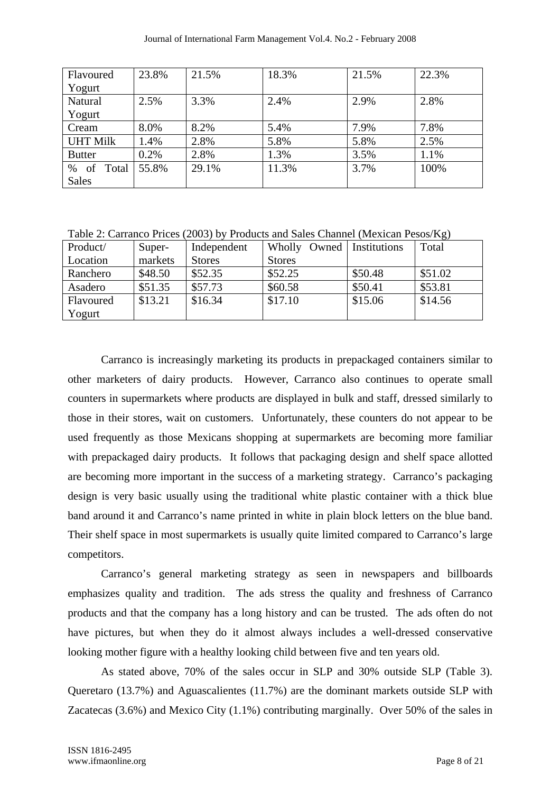| Flavoured        | 23.8% | 21.5% | 18.3% | 21.5% | 22.3% |
|------------------|-------|-------|-------|-------|-------|
| Yogurt           |       |       |       |       |       |
| Natural          | 2.5%  | 3.3%  | 2.4%  | 2.9%  | 2.8%  |
| Yogurt           |       |       |       |       |       |
| Cream            | 8.0%  | 8.2%  | 5.4%  | 7.9%  | 7.8%  |
| <b>UHT Milk</b>  | 1.4%  | 2.8%  | 5.8%  | 5.8%  | 2.5%  |
| <b>Butter</b>    | 0.2%  | 2.8%  | 1.3%  | 3.5%  | 1.1%  |
| of<br>%<br>Total | 55.8% | 29.1% | 11.3% | 3.7%  | 100%  |
| <b>Sales</b>     |       |       |       |       |       |

Table 2: Carranco Prices (2003) by Products and Sales Channel (Mexican Pesos/Kg)

| Product/  | Super-  | Independent   | Wholly Owned   Institutions |         | Total   |
|-----------|---------|---------------|-----------------------------|---------|---------|
| Location  | markets | <b>Stores</b> | <b>Stores</b>               |         |         |
| Ranchero  | \$48.50 | \$52.35       | \$52.25                     | \$50.48 | \$51.02 |
| Asadero   | \$51.35 | \$57.73       | \$60.58                     | \$50.41 | \$53.81 |
| Flavoured | \$13.21 | \$16.34       | \$17.10                     | \$15.06 | \$14.56 |
| Yogurt    |         |               |                             |         |         |

Carranco is increasingly marketing its products in prepackaged containers similar to other marketers of dairy products. However, Carranco also continues to operate small counters in supermarkets where products are displayed in bulk and staff, dressed similarly to those in their stores, wait on customers. Unfortunately, these counters do not appear to be used frequently as those Mexicans shopping at supermarkets are becoming more familiar with prepackaged dairy products. It follows that packaging design and shelf space allotted are becoming more important in the success of a marketing strategy. Carranco's packaging design is very basic usually using the traditional white plastic container with a thick blue band around it and Carranco's name printed in white in plain block letters on the blue band. Their shelf space in most supermarkets is usually quite limited compared to Carranco's large competitors.

Carranco's general marketing strategy as seen in newspapers and billboards emphasizes quality and tradition. The ads stress the quality and freshness of Carranco products and that the company has a long history and can be trusted. The ads often do not have pictures, but when they do it almost always includes a well-dressed conservative looking mother figure with a healthy looking child between five and ten years old.

As stated above, 70% of the sales occur in SLP and 30% outside SLP (Table 3). Queretaro (13.7%) and Aguascalientes (11.7%) are the dominant markets outside SLP with Zacatecas (3.6%) and Mexico City (1.1%) contributing marginally. Over 50% of the sales in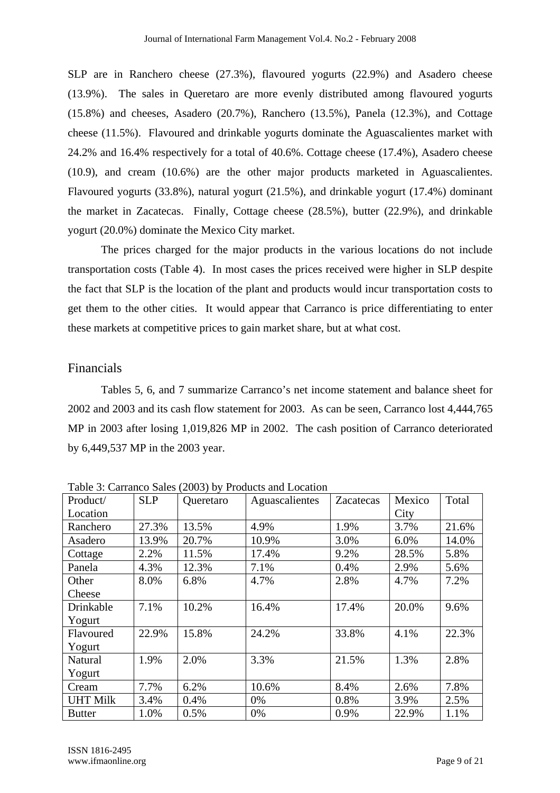SLP are in Ranchero cheese (27.3%), flavoured yogurts (22.9%) and Asadero cheese (13.9%). The sales in Queretaro are more evenly distributed among flavoured yogurts (15.8%) and cheeses, Asadero (20.7%), Ranchero (13.5%), Panela (12.3%), and Cottage cheese (11.5%). Flavoured and drinkable yogurts dominate the Aguascalientes market with 24.2% and 16.4% respectively for a total of 40.6%. Cottage cheese (17.4%), Asadero cheese (10.9), and cream (10.6%) are the other major products marketed in Aguascalientes. Flavoured yogurts (33.8%), natural yogurt (21.5%), and drinkable yogurt (17.4%) dominant the market in Zacatecas. Finally, Cottage cheese (28.5%), butter (22.9%), and drinkable yogurt (20.0%) dominate the Mexico City market.

The prices charged for the major products in the various locations do not include transportation costs (Table 4). In most cases the prices received were higher in SLP despite the fact that SLP is the location of the plant and products would incur transportation costs to get them to the other cities. It would appear that Carranco is price differentiating to enter these markets at competitive prices to gain market share, but at what cost.

#### Financials

Tables 5, 6, and 7 summarize Carranco's net income statement and balance sheet for 2002 and 2003 and its cash flow statement for 2003. As can be seen, Carranco lost 4,444,765 MP in 2003 after losing 1,019,826 MP in 2002. The cash position of Carranco deteriorated by 6,449,537 MP in the 2003 year.

| Product/        | <b>SLP</b> | Queretaro | Aguascalientes | Zacatecas | Mexico | Total |
|-----------------|------------|-----------|----------------|-----------|--------|-------|
| Location        |            |           |                |           | City   |       |
| Ranchero        | 27.3%      | 13.5%     | 4.9%           | 1.9%      | 3.7%   | 21.6% |
| Asadero         | 13.9%      | 20.7%     | 10.9%          | 3.0%      | 6.0%   | 14.0% |
| Cottage         | 2.2%       | 11.5%     | 17.4%          | 9.2%      | 28.5%  | 5.8%  |
| Panela          | 4.3%       | 12.3%     | 7.1%           | 0.4%      | 2.9%   | 5.6%  |
| Other           | 8.0%       | 6.8%      | 4.7%           | 2.8%      | 4.7%   | 7.2%  |
| Cheese          |            |           |                |           |        |       |
| Drinkable       | 7.1%       | 10.2%     | 16.4%          | 17.4%     | 20.0%  | 9.6%  |
| Yogurt          |            |           |                |           |        |       |
| Flavoured       | 22.9%      | 15.8%     | 24.2%          | 33.8%     | 4.1%   | 22.3% |
| Yogurt          |            |           |                |           |        |       |
| <b>Natural</b>  | 1.9%       | 2.0%      | 3.3%           | 21.5%     | 1.3%   | 2.8%  |
| Yogurt          |            |           |                |           |        |       |
| Cream           | 7.7%       | 6.2%      | 10.6%          | 8.4%      | 2.6%   | 7.8%  |
| <b>UHT Milk</b> | 3.4%       | 0.4%      | 0%             | 0.8%      | 3.9%   | 2.5%  |
| <b>Butter</b>   | 1.0%       | 0.5%      | 0%             | 0.9%      | 22.9%  | 1.1%  |

Table 3: Carranco Sales (2003) by Products and Location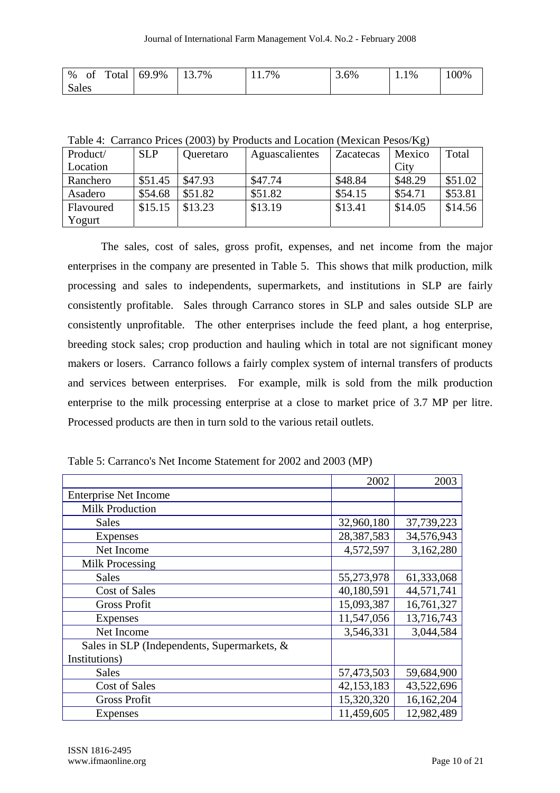|              | $\frac{1}{6}$ of Total 69.9% | $13.7\%$ | 11.7% | 3.6% | 1.1% | 100% |
|--------------|------------------------------|----------|-------|------|------|------|
| <b>Sales</b> |                              |          |       |      |      |      |

Table 4: Carranco Prices (2003) by Products and Location (Mexican Pesos/Kg)

| Product/  | <b>SLP</b> | Queretaro | Aguascalientes | Zacatecas | Mexico  | Total   |
|-----------|------------|-----------|----------------|-----------|---------|---------|
| Location  |            |           |                |           | City    |         |
| Ranchero  | \$51.45    | \$47.93   | \$47.74        | \$48.84   | \$48.29 | \$51.02 |
| Asadero   | \$54.68    | \$51.82   | \$51.82        | \$54.15   | \$54.71 | \$53.81 |
| Flavoured | \$15.15    | \$13.23   | \$13.19        | \$13.41   | \$14.05 | \$14.56 |
| Yogurt    |            |           |                |           |         |         |

The sales, cost of sales, gross profit, expenses, and net income from the major enterprises in the company are presented in Table 5. This shows that milk production, milk processing and sales to independents, supermarkets, and institutions in SLP are fairly consistently profitable. Sales through Carranco stores in SLP and sales outside SLP are consistently unprofitable. The other enterprises include the feed plant, a hog enterprise, breeding stock sales; crop production and hauling which in total are not significant money makers or losers. Carranco follows a fairly complex system of internal transfers of products and services between enterprises. For example, milk is sold from the milk production enterprise to the milk processing enterprise at a close to market price of 3.7 MP per litre. Processed products are then in turn sold to the various retail outlets.

|                                             | 2002       | 2003       |
|---------------------------------------------|------------|------------|
| <b>Enterprise Net Income</b>                |            |            |
| <b>Milk Production</b>                      |            |            |
| <b>Sales</b>                                | 32,960,180 | 37,739,223 |
| Expenses                                    | 28,387,583 | 34,576,943 |
| Net Income                                  | 4,572,597  | 3,162,280  |
| Milk Processing                             |            |            |
| <b>Sales</b>                                | 55,273,978 | 61,333,068 |
| <b>Cost of Sales</b>                        | 40,180,591 | 44,571,741 |
| <b>Gross Profit</b>                         | 15,093,387 | 16,761,327 |
| Expenses                                    | 11,547,056 | 13,716,743 |
| Net Income                                  | 3,546,331  | 3,044,584  |
| Sales in SLP (Independents, Supermarkets, & |            |            |
| Institutions)                               |            |            |
| <b>Sales</b>                                | 57,473,503 | 59,684,900 |
| <b>Cost of Sales</b>                        | 42,153,183 | 43,522,696 |
| <b>Gross Profit</b>                         | 15,320,320 | 16,162,204 |
| Expenses                                    | 11,459,605 | 12,982,489 |

Table 5: Carranco's Net Income Statement for 2002 and 2003 (MP)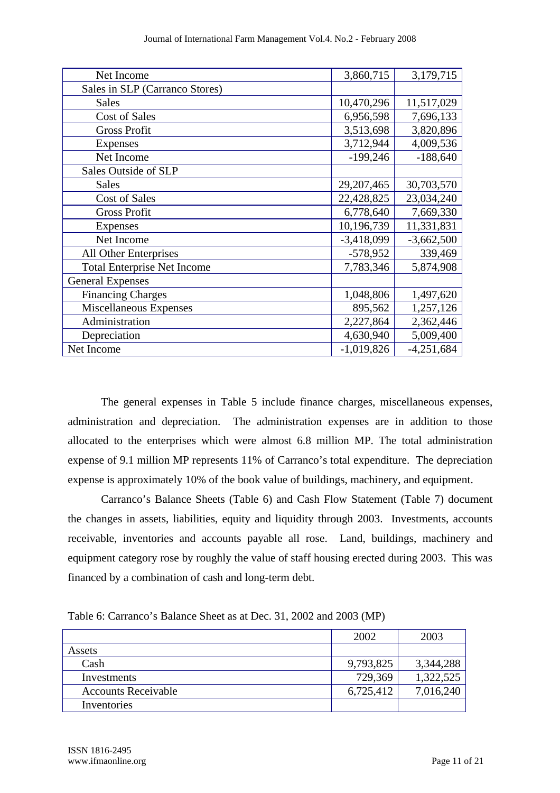| Net Income                         | 3,860,715    | 3,179,715    |
|------------------------------------|--------------|--------------|
| Sales in SLP (Carranco Stores)     |              |              |
| <b>Sales</b>                       | 10,470,296   | 11,517,029   |
| <b>Cost of Sales</b>               | 6,956,598    | 7,696,133    |
| <b>Gross Profit</b>                | 3,513,698    | 3,820,896    |
| <b>Expenses</b>                    | 3,712,944    | 4,009,536    |
| Net Income                         | $-199,246$   | $-188,640$   |
| Sales Outside of SLP               |              |              |
| <b>Sales</b>                       | 29, 207, 465 | 30,703,570   |
| <b>Cost of Sales</b>               | 22,428,825   | 23,034,240   |
| <b>Gross Profit</b>                | 6,778,640    | 7,669,330    |
| Expenses                           | 10,196,739   | 11,331,831   |
| Net Income                         | $-3,418,099$ | $-3,662,500$ |
| All Other Enterprises              | $-578,952$   | 339,469      |
| <b>Total Enterprise Net Income</b> | 7,783,346    | 5,874,908    |
| <b>General Expenses</b>            |              |              |
| <b>Financing Charges</b>           | 1,048,806    | 1,497,620    |
| Miscellaneous Expenses             | 895,562      | 1,257,126    |
| Administration                     | 2,227,864    | 2,362,446    |
| Depreciation                       | 4,630,940    | 5,009,400    |
| Net Income                         | $-1,019,826$ | $-4,251,684$ |

The general expenses in Table 5 include finance charges, miscellaneous expenses, administration and depreciation. The administration expenses are in addition to those allocated to the enterprises which were almost 6.8 million MP. The total administration expense of 9.1 million MP represents 11% of Carranco's total expenditure. The depreciation expense is approximately 10% of the book value of buildings, machinery, and equipment.

Carranco's Balance Sheets (Table 6) and Cash Flow Statement (Table 7) document the changes in assets, liabilities, equity and liquidity through 2003. Investments, accounts receivable, inventories and accounts payable all rose. Land, buildings, machinery and equipment category rose by roughly the value of staff housing erected during 2003. This was financed by a combination of cash and long-term debt.

Table 6: Carranco's Balance Sheet as at Dec. 31, 2002 and 2003 (MP)

|                            | 2002      | 2003      |
|----------------------------|-----------|-----------|
| Assets                     |           |           |
| Cash                       | 9,793,825 | 3,344,288 |
| Investments                | 729,369   | 1,322,525 |
| <b>Accounts Receivable</b> | 6,725,412 | 7,016,240 |
| Inventories                |           |           |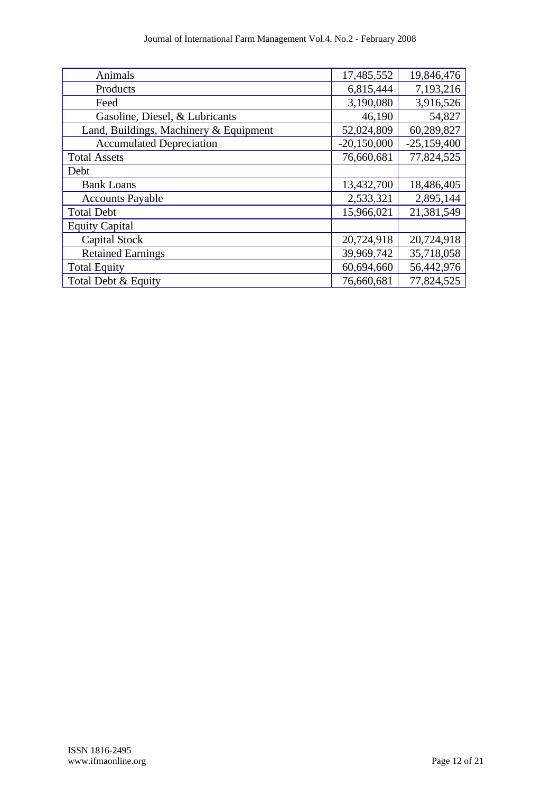| Animals                                | 17,485,552    | 19,846,476    |
|----------------------------------------|---------------|---------------|
| Products                               | 6,815,444     | 7,193,216     |
| Feed                                   | 3,190,080     | 3,916,526     |
| Gasoline, Diesel, & Lubricants         | 46,190        | 54,827        |
| Land, Buildings, Machinery & Equipment | 52,024,809    | 60,289,827    |
| <b>Accumulated Depreciation</b>        | $-20,150,000$ | $-25,159,400$ |
| <b>Total Assets</b>                    | 76,660,681    | 77,824,525    |
| Debt                                   |               |               |
| <b>Bank Loans</b>                      | 13,432,700    | 18,486,405    |
| <b>Accounts Payable</b>                | 2,533,321     | 2,895,144     |
| <b>Total Debt</b>                      | 15,966,021    | 21,381,549    |
| <b>Equity Capital</b>                  |               |               |
| <b>Capital Stock</b>                   | 20,724,918    | 20,724,918    |
| <b>Retained Earnings</b>               | 39,969,742    | 35,718,058    |
| <b>Total Equity</b>                    | 60,694,660    | 56,442,976    |
| Total Debt & Equity                    | 76,660,681    | 77,824,525    |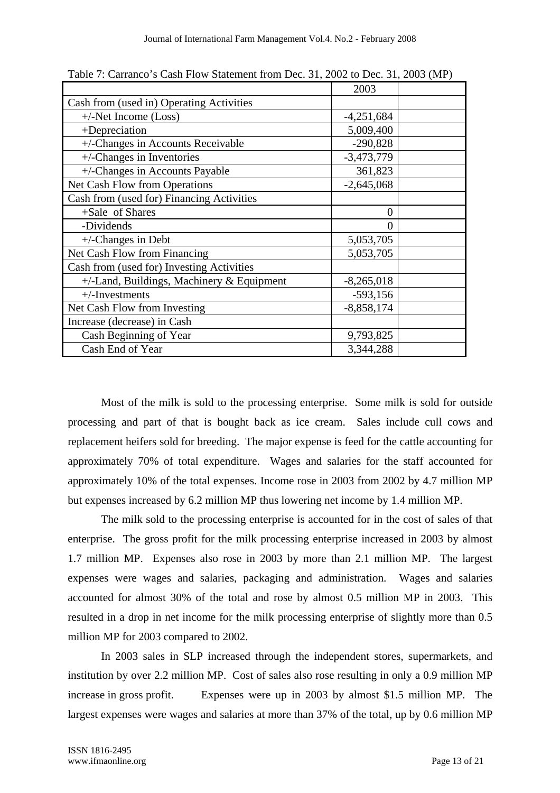|                                              | 2003         |  |
|----------------------------------------------|--------------|--|
| Cash from (used in) Operating Activities     |              |  |
| $+/-Net$ Income (Loss)                       | $-4,251,684$ |  |
| +Depreciation                                | 5,009,400    |  |
| +/-Changes in Accounts Receivable            | $-290,828$   |  |
| $+/-$ Changes in Inventories                 | $-3,473,779$ |  |
| +/-Changes in Accounts Payable               | 361,823      |  |
| Net Cash Flow from Operations                | $-2,645,068$ |  |
| Cash from (used for) Financing Activities    |              |  |
| +Sale of Shares                              | $\theta$     |  |
| -Dividends                                   | 0            |  |
| $+/-$ Changes in Debt                        | 5,053,705    |  |
| Net Cash Flow from Financing                 | 5,053,705    |  |
| Cash from (used for) Investing Activities    |              |  |
| $+/-$ Land, Buildings, Machinery & Equipment | $-8,265,018$ |  |
| $+/-$ Investments                            | $-593,156$   |  |
| Net Cash Flow from Investing                 | $-8,858,174$ |  |
| Increase (decrease) in Cash                  |              |  |
| Cash Beginning of Year                       | 9,793,825    |  |
| Cash End of Year                             | 3,344,288    |  |

Table 7: Carranco's Cash Flow Statement from Dec. 31, 2002 to Dec. 31, 2003 (MP)

Most of the milk is sold to the processing enterprise. Some milk is sold for outside processing and part of that is bought back as ice cream. Sales include cull cows and replacement heifers sold for breeding. The major expense is feed for the cattle accounting for approximately 70% of total expenditure. Wages and salaries for the staff accounted for approximately 10% of the total expenses. Income rose in 2003 from 2002 by 4.7 million MP but expenses increased by 6.2 million MP thus lowering net income by 1.4 million MP.

The milk sold to the processing enterprise is accounted for in the cost of sales of that enterprise. The gross profit for the milk processing enterprise increased in 2003 by almost 1.7 million MP. Expenses also rose in 2003 by more than 2.1 million MP. The largest expenses were wages and salaries, packaging and administration. Wages and salaries accounted for almost 30% of the total and rose by almost 0.5 million MP in 2003. This resulted in a drop in net income for the milk processing enterprise of slightly more than 0.5 million MP for 2003 compared to 2002.

In 2003 sales in SLP increased through the independent stores, supermarkets, and institution by over 2.2 million MP. Cost of sales also rose resulting in only a 0.9 million MP increase in gross profit. Expenses were up in 2003 by almost \$1.5 million MP. The largest expenses were wages and salaries at more than 37% of the total, up by 0.6 million MP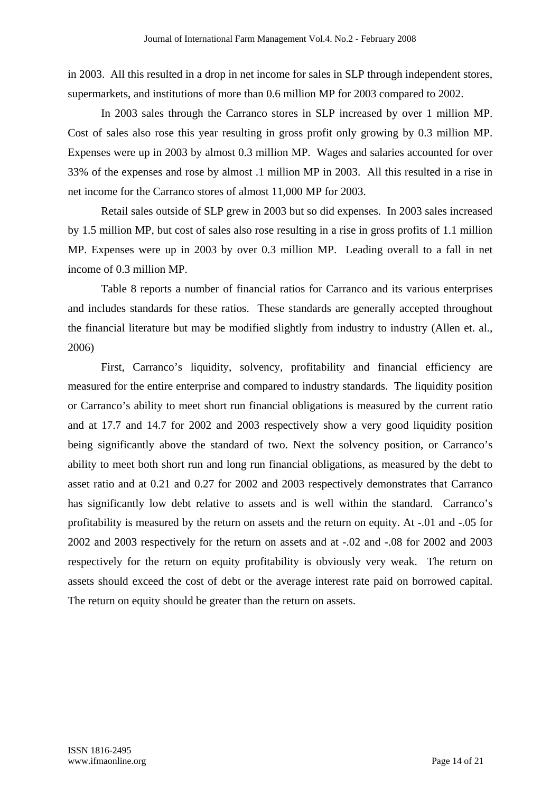in 2003. All this resulted in a drop in net income for sales in SLP through independent stores, supermarkets, and institutions of more than 0.6 million MP for 2003 compared to 2002.

In 2003 sales through the Carranco stores in SLP increased by over 1 million MP. Cost of sales also rose this year resulting in gross profit only growing by 0.3 million MP. Expenses were up in 2003 by almost 0.3 million MP. Wages and salaries accounted for over 33% of the expenses and rose by almost .1 million MP in 2003. All this resulted in a rise in net income for the Carranco stores of almost 11,000 MP for 2003.

Retail sales outside of SLP grew in 2003 but so did expenses. In 2003 sales increased by 1.5 million MP, but cost of sales also rose resulting in a rise in gross profits of 1.1 million MP. Expenses were up in 2003 by over 0.3 million MP. Leading overall to a fall in net income of 0.3 million MP.

Table 8 reports a number of financial ratios for Carranco and its various enterprises and includes standards for these ratios. These standards are generally accepted throughout the financial literature but may be modified slightly from industry to industry (Allen et. al., 2006)

First, Carranco's liquidity, solvency, profitability and financial efficiency are measured for the entire enterprise and compared to industry standards. The liquidity position or Carranco's ability to meet short run financial obligations is measured by the current ratio and at 17.7 and 14.7 for 2002 and 2003 respectively show a very good liquidity position being significantly above the standard of two. Next the solvency position, or Carranco's ability to meet both short run and long run financial obligations, as measured by the debt to asset ratio and at 0.21 and 0.27 for 2002 and 2003 respectively demonstrates that Carranco has significantly low debt relative to assets and is well within the standard. Carranco's profitability is measured by the return on assets and the return on equity. At -.01 and -.05 for 2002 and 2003 respectively for the return on assets and at -.02 and -.08 for 2002 and 2003 respectively for the return on equity profitability is obviously very weak. The return on assets should exceed the cost of debt or the average interest rate paid on borrowed capital. The return on equity should be greater than the return on assets.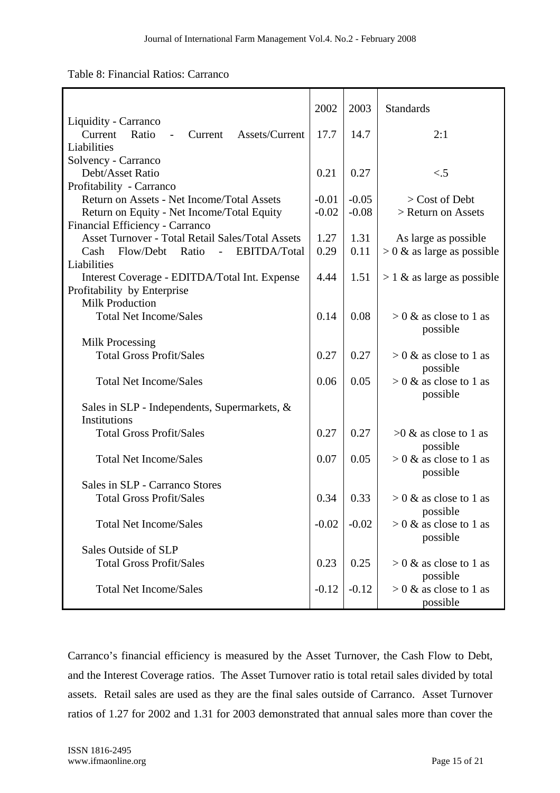|  | Table 8: Financial Ratios: Carranco |  |  |
|--|-------------------------------------|--|--|
|--|-------------------------------------|--|--|

|                                                              | 2002    | 2003    | Standards                    |
|--------------------------------------------------------------|---------|---------|------------------------------|
| Liquidity - Carranco                                         |         |         |                              |
| Ratio<br>Assets/Current<br>Current<br>Current                | 17.7    | 14.7    | 2:1                          |
| Liabilities                                                  |         |         |                              |
| Solvency - Carranco                                          |         |         |                              |
| Debt/Asset Ratio                                             | 0.21    | 0.27    | $\lt$ .5                     |
| Profitability - Carranco                                     |         |         |                              |
| Return on Assets - Net Income/Total Assets                   | $-0.01$ | $-0.05$ | $>$ Cost of Debt             |
| Return on Equity - Net Income/Total Equity                   | $-0.02$ | $-0.08$ | > Return on Assets           |
| Financial Efficiency - Carranco                              |         |         |                              |
| <b>Asset Turnover - Total Retail Sales/Total Assets</b>      | 1.27    | 1.31    | As large as possible         |
| Flow/Debt<br>EBITDA/Total<br>Ratio<br>Cash<br>$\overline{a}$ | 0.29    | 0.11    | $> 0$ & as large as possible |
| Liabilities                                                  |         |         |                              |
| Interest Coverage - EDITDA/Total Int. Expense                | 4.44    | 1.51    | $> 1$ & as large as possible |
| Profitability by Enterprise                                  |         |         |                              |
| <b>Milk Production</b>                                       |         |         |                              |
| <b>Total Net Income/Sales</b>                                | 0.14    | 0.08    | $> 0 \&$ as close to 1 as    |
|                                                              |         |         | possible                     |
| Milk Processing                                              |         |         |                              |
| <b>Total Gross Profit/Sales</b>                              | 0.27    | 0.27    | $> 0$ & as close to 1 as     |
|                                                              |         |         | possible                     |
| <b>Total Net Income/Sales</b>                                | 0.06    | 0.05    | $> 0 \&$ as close to 1 as    |
|                                                              |         |         | possible                     |
| Sales in SLP - Independents, Supermarkets, &                 |         |         |                              |
| <b>Institutions</b>                                          |         |         |                              |
| <b>Total Gross Profit/Sales</b>                              | 0.27    | 0.27    | $>0$ & as close to 1 as      |
|                                                              |         |         | possible                     |
| <b>Total Net Income/Sales</b>                                | 0.07    | 0.05    | $> 0 \&$ as close to 1 as    |
|                                                              |         |         | possible                     |
| Sales in SLP - Carranco Stores                               |         |         |                              |
| <b>Total Gross Profit/Sales</b>                              | 0.34    | 0.33    | $> 0 \&$ as close to 1 as    |
|                                                              |         |         | possible                     |
| <b>Total Net Income/Sales</b>                                | $-0.02$ | $-0.02$ | $> 0 \&$ as close to 1 as    |
|                                                              |         |         | possible                     |
| Sales Outside of SLP                                         |         |         |                              |
| <b>Total Gross Profit/Sales</b>                              | 0.23    | 0.25    | $> 0$ & as close to 1 as     |
|                                                              |         |         | possible                     |
| <b>Total Net Income/Sales</b>                                | $-0.12$ | $-0.12$ | $> 0$ & as close to 1 as     |
|                                                              |         |         | possible                     |

Carranco's financial efficiency is measured by the Asset Turnover, the Cash Flow to Debt, and the Interest Coverage ratios. The Asset Turnover ratio is total retail sales divided by total assets. Retail sales are used as they are the final sales outside of Carranco. Asset Turnover ratios of 1.27 for 2002 and 1.31 for 2003 demonstrated that annual sales more than cover the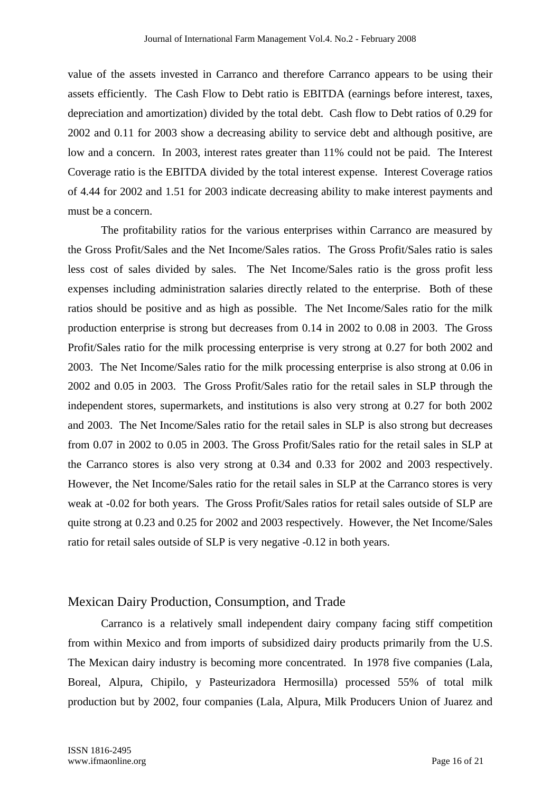value of the assets invested in Carranco and therefore Carranco appears to be using their assets efficiently. The Cash Flow to Debt ratio is EBITDA (earnings before interest, taxes, depreciation and amortization) divided by the total debt. Cash flow to Debt ratios of 0.29 for 2002 and 0.11 for 2003 show a decreasing ability to service debt and although positive, are low and a concern. In 2003, interest rates greater than 11% could not be paid. The Interest Coverage ratio is the EBITDA divided by the total interest expense. Interest Coverage ratios of 4.44 for 2002 and 1.51 for 2003 indicate decreasing ability to make interest payments and must be a concern.

The profitability ratios for the various enterprises within Carranco are measured by the Gross Profit/Sales and the Net Income/Sales ratios. The Gross Profit/Sales ratio is sales less cost of sales divided by sales. The Net Income/Sales ratio is the gross profit less expenses including administration salaries directly related to the enterprise. Both of these ratios should be positive and as high as possible. The Net Income/Sales ratio for the milk production enterprise is strong but decreases from 0.14 in 2002 to 0.08 in 2003. The Gross Profit/Sales ratio for the milk processing enterprise is very strong at 0.27 for both 2002 and 2003. The Net Income/Sales ratio for the milk processing enterprise is also strong at 0.06 in 2002 and 0.05 in 2003. The Gross Profit/Sales ratio for the retail sales in SLP through the independent stores, supermarkets, and institutions is also very strong at 0.27 for both 2002 and 2003. The Net Income/Sales ratio for the retail sales in SLP is also strong but decreases from 0.07 in 2002 to 0.05 in 2003. The Gross Profit/Sales ratio for the retail sales in SLP at the Carranco stores is also very strong at 0.34 and 0.33 for 2002 and 2003 respectively. However, the Net Income/Sales ratio for the retail sales in SLP at the Carranco stores is very weak at -0.02 for both years. The Gross Profit/Sales ratios for retail sales outside of SLP are quite strong at 0.23 and 0.25 for 2002 and 2003 respectively. However, the Net Income/Sales ratio for retail sales outside of SLP is very negative -0.12 in both years.

### Mexican Dairy Production, Consumption, and Trade

 Carranco is a relatively small independent dairy company facing stiff competition from within Mexico and from imports of subsidized dairy products primarily from the U.S. The Mexican dairy industry is becoming more concentrated. In 1978 five companies (Lala, Boreal, Alpura, Chipilo, y Pasteurizadora Hermosilla) processed 55% of total milk production but by 2002, four companies (Lala, Alpura, Milk Producers Union of Juarez and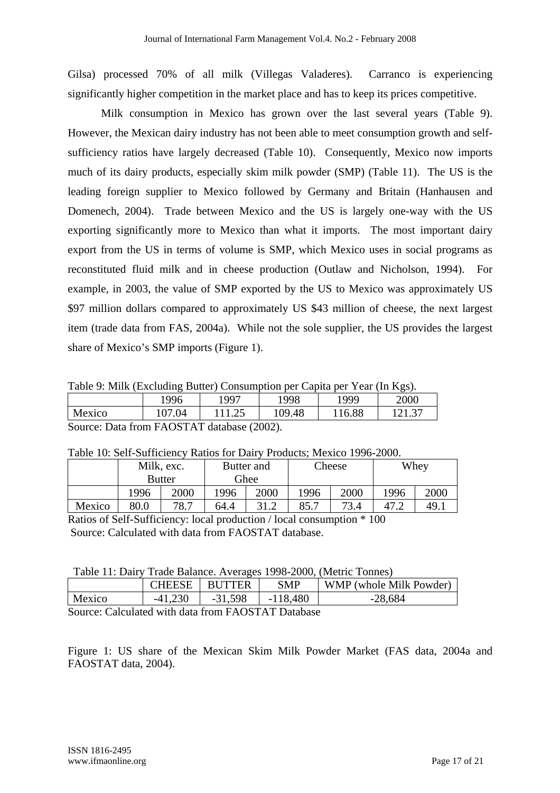Gilsa) processed 70% of all milk (Villegas Valaderes). Carranco is experiencing significantly higher competition in the market place and has to keep its prices competitive.

Milk consumption in Mexico has grown over the last several years (Table 9). However, the Mexican dairy industry has not been able to meet consumption growth and selfsufficiency ratios have largely decreased (Table 10). Consequently, Mexico now imports much of its dairy products, especially skim milk powder (SMP) (Table 11). The US is the leading foreign supplier to Mexico followed by Germany and Britain (Hanhausen and Domenech, 2004). Trade between Mexico and the US is largely one-way with the US exporting significantly more to Mexico than what it imports. The most important dairy export from the US in terms of volume is SMP, which Mexico uses in social programs as reconstituted fluid milk and in cheese production (Outlaw and Nicholson, 1994). For example, in 2003, the value of SMP exported by the US to Mexico was approximately US \$97 million dollars compared to approximately US \$43 million of cheese, the next largest item (trade data from FAS, 2004a). While not the sole supplier, the US provides the largest share of Mexico's SMP imports (Figure 1).

Table 9: Milk (Excluding Butter) Consumption per Capita per Year (In Kgs).

|                                                             | 1996   | 1997 | 1998   | 1999   | 2000   |  |
|-------------------------------------------------------------|--------|------|--------|--------|--------|--|
| Mexico                                                      | 107.04 |      | 109.48 | 116.88 | 141.J' |  |
| $\Gamma$ Course: Dete from $\Gamma$ A OSTAT detebora (2002) |        |      |        |        |        |  |

Source: Data from FAOSTAT database (2002).

Table 10: Self-Sufficiency Ratios for Dairy Products; Mexico 1996-2000.

|        | Milk, exc. | Butter and    |             |      | Cheese |      | Whey |      |
|--------|------------|---------------|-------------|------|--------|------|------|------|
|        |            | <b>Butter</b> | <b>Ghee</b> |      |        |      |      |      |
|        | 1996       | 2000          | 1996        | 2000 | 1996   | 2000 | 1996 | 2000 |
| Mexico | 80.0       | 78.7          | 64.4        | 31.2 | 85.7   | 73.4 | 47.2 | 49.1 |

Ratios of Self-Sufficiency: local production / local consumption \* 100 Source: Calculated with data from FAOSTAT database.

|                                                                                                                                                                     | <b>CHEESE</b> | BUTTER    | SMP        | WMP (whole Milk Powder) |  |
|---------------------------------------------------------------------------------------------------------------------------------------------------------------------|---------------|-----------|------------|-------------------------|--|
| Mexico                                                                                                                                                              |               | $-31,598$ | $-118,480$ | $-28,684$               |  |
| $\Gamma_{\text{OM22}}$ $\Gamma_{\text{clou}}$ $\Gamma_{\text{clou}}$ to $\Gamma_{\text{clou}}$ $\Gamma_{\text{clou}}$ $\Gamma_{\text{clou}}$ $\Gamma_{\text{clou}}$ |               |           |            |                         |  |

Source: Calculated with data from FAOSTAT Database

Figure 1: US share of the Mexican Skim Milk Powder Market (FAS data, 2004a and FAOSTAT data, 2004).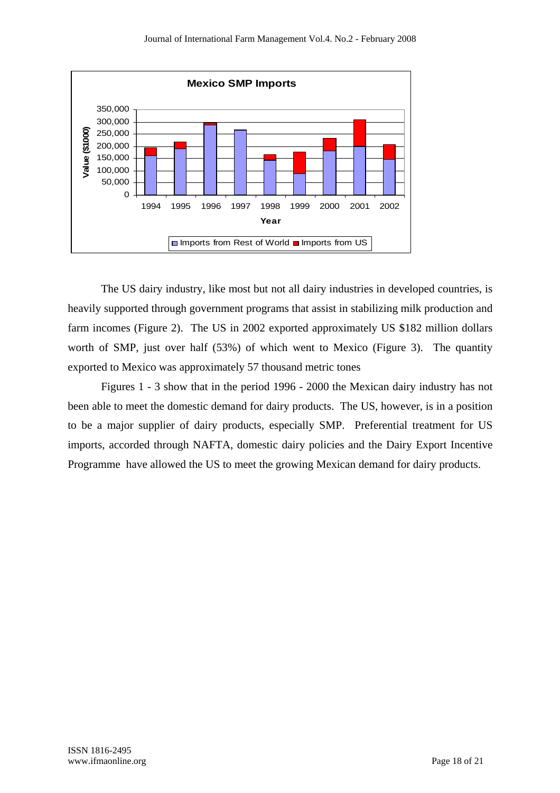

The US dairy industry, like most but not all dairy industries in developed countries, is heavily supported through government programs that assist in stabilizing milk production and farm incomes (Figure 2). The US in 2002 exported approximately US \$182 million dollars worth of SMP, just over half (53%) of which went to Mexico (Figure 3). The quantity exported to Mexico was approximately 57 thousand metric tones

Figures 1 - 3 show that in the period 1996 - 2000 the Mexican dairy industry has not been able to meet the domestic demand for dairy products. The US, however, is in a position to be a major supplier of dairy products, especially SMP. Preferential treatment for US imports, accorded through NAFTA, domestic dairy policies and the Dairy Export Incentive Programme have allowed the US to meet the growing Mexican demand for dairy products.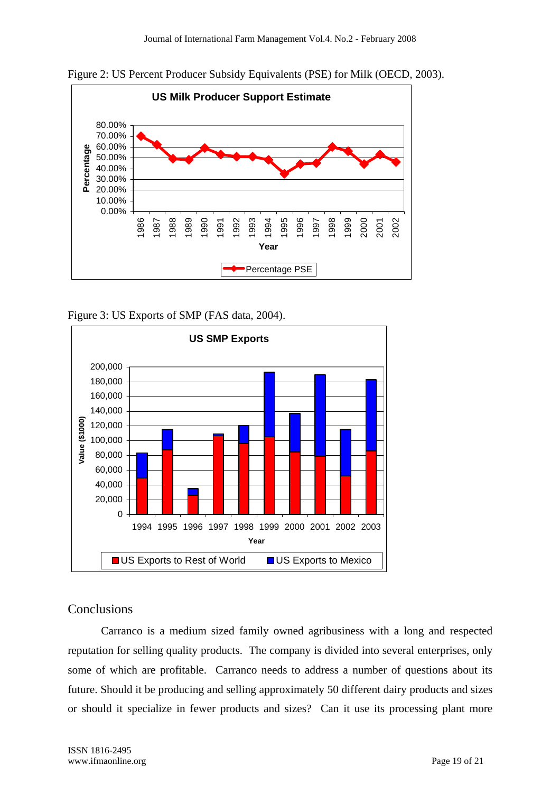



Figure 3: US Exports of SMP (FAS data, 2004).



## Conclusions

Carranco is a medium sized family owned agribusiness with a long and respected reputation for selling quality products. The company is divided into several enterprises, only some of which are profitable. Carranco needs to address a number of questions about its future. Should it be producing and selling approximately 50 different dairy products and sizes or should it specialize in fewer products and sizes? Can it use its processing plant more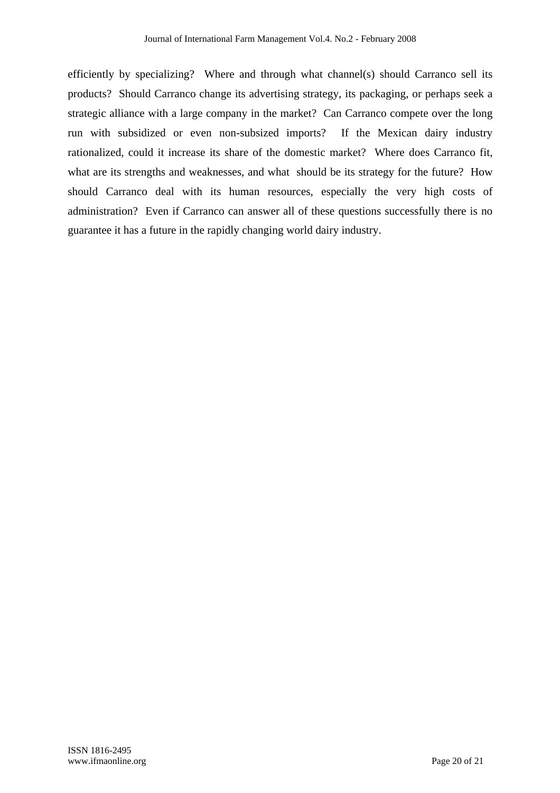efficiently by specializing? Where and through what channel(s) should Carranco sell its products? Should Carranco change its advertising strategy, its packaging, or perhaps seek a strategic alliance with a large company in the market? Can Carranco compete over the long run with subsidized or even non-subsized imports? If the Mexican dairy industry rationalized, could it increase its share of the domestic market? Where does Carranco fit, what are its strengths and weaknesses, and what should be its strategy for the future? How should Carranco deal with its human resources, especially the very high costs of administration? Even if Carranco can answer all of these questions successfully there is no guarantee it has a future in the rapidly changing world dairy industry.